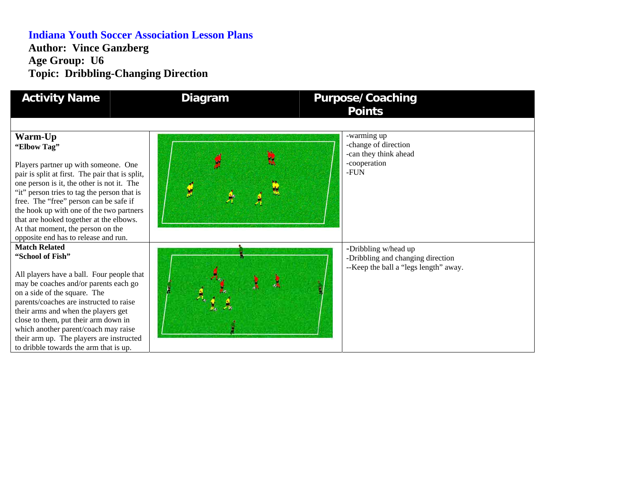## **Indiana Youth Soccer Association Lesson Plans Author: Vince Ganzberg Age Group: U6 Topic: Dribbling-Changing Direction**